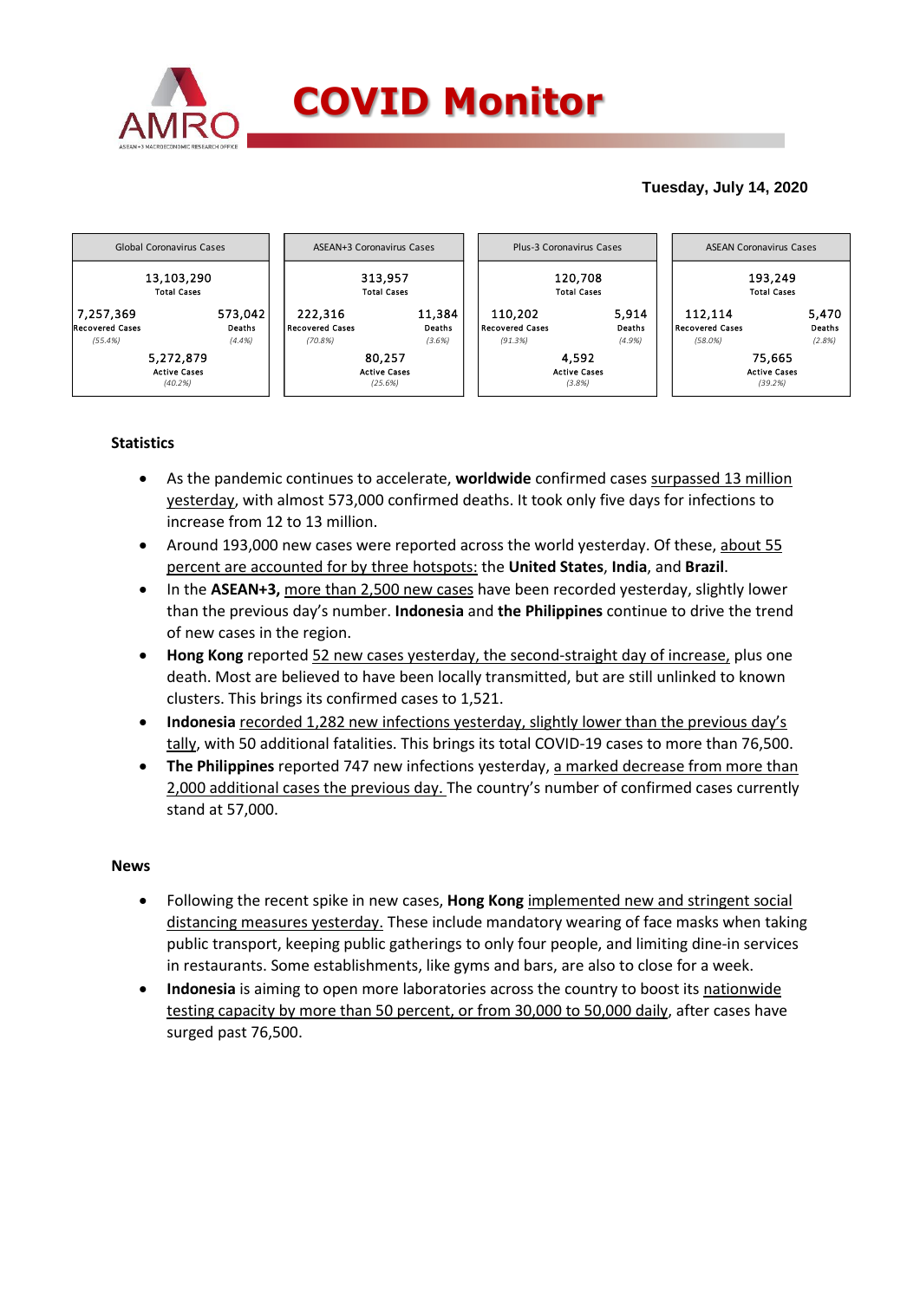

### **Tuesday, July 14, 2020**



## **Statistics**

- As the pandemic continues to accelerate, **worldwide** confirmed cases surpassed 13 million yesterday, with almost 573,000 confirmed deaths. It took only five days for infections to increase from 12 to 13 million.
- Around 193,000 new cases were reported across the world yesterday. Of these, about 55 percent are accounted for by three hotspots: the **United States**, **India**, and **Brazil**.
- In the **ASEAN+3,** more than 2,500 new cases have been recorded yesterday, slightly lower than the previous day's number. **Indonesia** and **the Philippines** continue to drive the trend of new cases in the region.
- **Hong Kong** reported 52 new cases yesterday, the second-straight day of increase, plus one death. Most are believed to have been locally transmitted, but are still unlinked to known clusters. This brings its confirmed cases to 1,521.
- **Indonesia** recorded 1,282 new infections yesterday, slightly lower than the previous day's tally, with 50 additional fatalities. This brings its total COVID-19 cases to more than 76,500.
- **The Philippines** reported 747 new infections yesterday, a marked decrease from more than 2,000 additional cases the previous day. The country's number of confirmed cases currently stand at 57,000.

#### **News**

- Following the recent spike in new cases, **Hong Kong** implemented new and stringent social distancing measures yesterday. These include mandatory wearing of face masks when taking public transport, keeping public gatherings to only four people, and limiting dine-in services in restaurants. Some establishments, like gyms and bars, are also to close for a week.
- **Indonesia** is aiming to open more laboratories across the country to boost its nationwide testing capacity by more than 50 percent, or from 30,000 to 50,000 daily, after cases have surged past 76,500.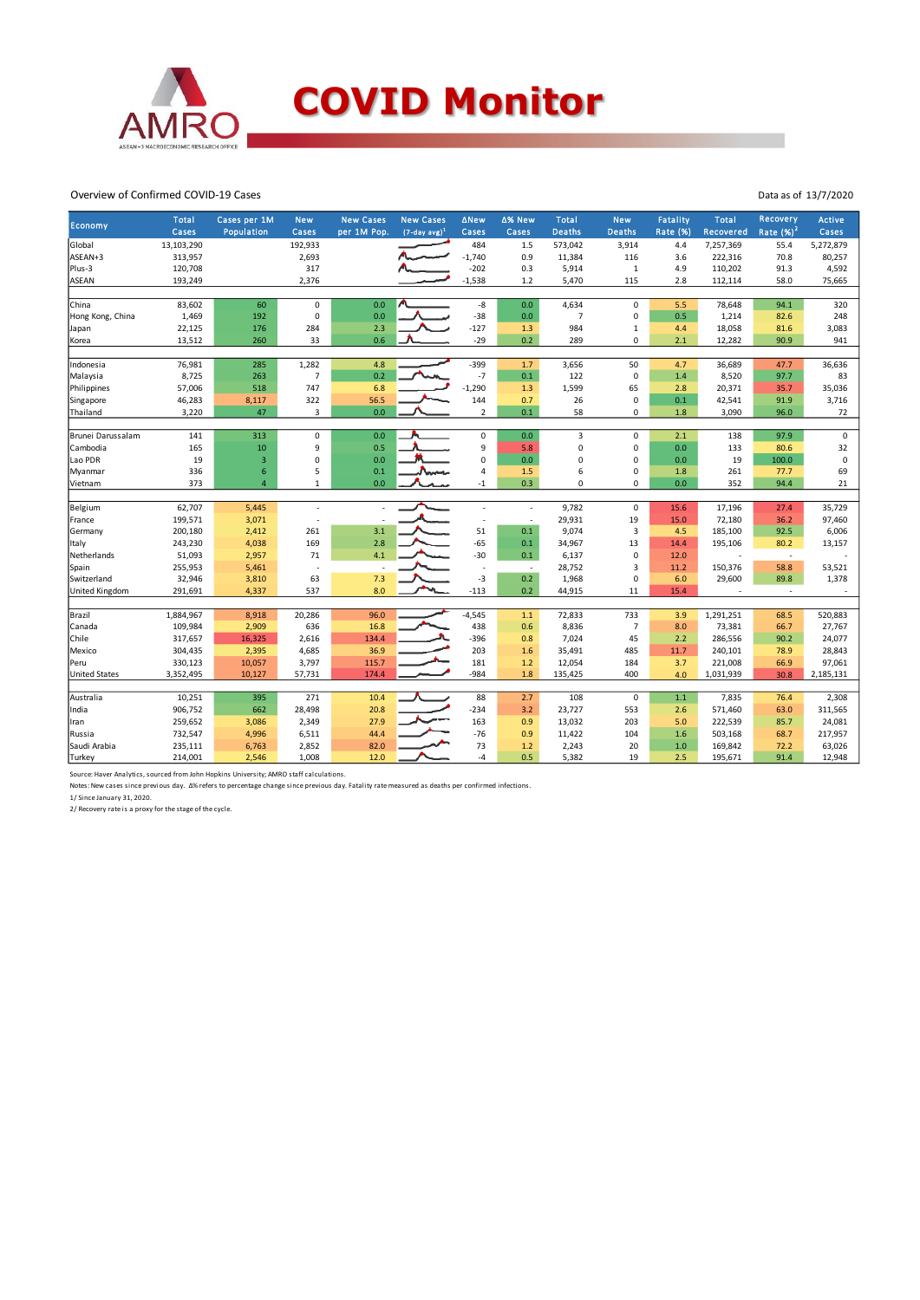

#### Overview of Confirmed COVID-19 Cases

|                      | <b>Total</b> | Cases per 1M            | <b>New</b>              | <b>New Cases</b> | <b>New Cases</b> | ∆New                | ∆% New                   | <b>Total</b>  | <b>New</b>          | <b>Fatality</b> | Total     | Recovery      | <b>Active</b> |
|----------------------|--------------|-------------------------|-------------------------|------------------|------------------|---------------------|--------------------------|---------------|---------------------|-----------------|-----------|---------------|---------------|
| Economy              | Cases        | Population              | Cases                   | per 1M Pop.      | $(7-day avg)^1$  | Cases               | Cases                    | <b>Deaths</b> | <b>Deaths</b>       | Rate (%)        | Recovered | Rate $(\%)^2$ | Cases         |
| Global               | 13,103,290   |                         | 192,933                 |                  |                  | 484                 | 1.5                      | 573,042       | 3,914               | 4.4             | 7,257,369 | 55.4          | 5,272,879     |
| ASEAN+3              | 313,957      |                         | 2,693                   |                  |                  | $-1,740$            | 0.9                      | 11,384        | 116                 | 3.6             | 222,316   | 70.8          | 80,257        |
| Plus-3               | 120,708      |                         | 317                     |                  |                  | $-202$              | 0.3                      | 5,914         | $1\,$               | 4.9             | 110,202   | 91.3          | 4,592         |
| <b>ASEAN</b>         | 193,249      |                         | 2,376                   |                  |                  | $-1,538$            | 1.2                      | 5,470         | 115                 | 2.8             | 112,114   | 58.0          | 75,665        |
|                      |              |                         |                         |                  |                  |                     |                          |               |                     |                 |           |               |               |
| China                | 83,602       | 60                      | $\pmb{0}$               | 0.0              |                  | -8                  | 0.0                      | 4,634         | $\mathsf{O}\xspace$ | 5.5             | 78,648    | 94.1          | 320           |
| Hong Kong, China     | 1,469        | 192                     | $\mathbf 0$             | 0.0              |                  | $-38$               | 0.0                      | 7             | 0                   | 0.5             | 1,214     | 82.6          | 248           |
| Japan                | 22,125       | 176                     | 284                     | 2.3              |                  | $-127$              | 1.3                      | 984           | $\mathbf{1}$        | 4.4             | 18,058    | 81.6          | 3,083         |
| Korea                | 13,512       | 260                     | 33                      | 0.6              |                  | $-29$               | 0.2                      | 289           | 0                   | 2.1             | 12,282    | 90.9          | 941           |
|                      |              |                         |                         |                  |                  |                     |                          |               |                     |                 |           |               |               |
| Indonesia            | 76,981       | 285                     | 1,282                   | 4.8              |                  | $-399$              | 1.7                      | 3,656         | 50                  | 4.7             | 36,689    | 47.7          | 36,636        |
| Malaysia             | 8,725        | 263                     | $\overline{7}$          | 0.2              |                  | $-7$                | 0.1                      | 122           | $\mathbf 0$         | 1.4             | 8,520     | 97.7          | 83            |
| Philippines          | 57,006       | 518                     | 747                     | 6.8              |                  | $-1,290$            | 1.3                      | 1,599         | 65                  | 2.8             | 20,371    | 35.7          | 35,036        |
| Singapore            | 46,283       | 8,117                   | 322                     | 56.5             |                  | 144                 | 0.7                      | 26            | 0                   | $0.1\,$         | 42,541    | 91.9          | 3,716         |
| Thailand             | 3,220        | 47                      | $\overline{\mathbf{3}}$ | 0.0              |                  | $\overline{2}$      | 0.1                      | 58            | 0                   | 1.8             | 3,090     | 96.0          | 72            |
|                      |              |                         |                         |                  |                  |                     |                          |               |                     |                 |           |               |               |
| Brunei Darussalam    | 141          | 313                     | $\mathsf 0$             | 0.0              |                  | $\mathsf{O}\xspace$ | 0.0                      | 3             | $\mathbf 0$         | 2.1             | 138       | 97.9          | $\mathsf 0$   |
| Cambodia             | 165          | 10                      | 9                       | 0.5              |                  | 9                   | 5.8                      | 0             | 0                   | 0.0             | 133       | 80.6          | 32            |
| Lao PDR              | 19           | $\overline{\mathbf{3}}$ | $\pmb{0}$               | 0.0              |                  | 0                   | 0.0                      | 0             | 0                   | 0.0             | 19        | 100.0         | $\mathbf 0$   |
| Myanmar              | 336          | 6                       | 5                       | 0.1              | Name             | 4                   | 1.5                      | 6             | $\pmb{0}$           | 1.8             | 261       | 77.7          | 69            |
| Vietnam              | 373          | $\overline{a}$          | $1\,$                   | 0.0              |                  | $-1$                | 0.3                      | $\mathbf 0$   | 0                   | 0.0             | 352       | 94.4          | 21            |
|                      |              |                         |                         |                  |                  |                     |                          |               |                     |                 |           |               |               |
| Belgium              | 62,707       | 5,445                   |                         |                  |                  | ٠                   | ä,                       | 9,782         | $\mathsf 0$         | 15.6            | 17,196    | 27.4          | 35,729        |
| France               | 199,571      | 3,071                   |                         |                  |                  | Ĭ.                  | ٠                        | 29,931        | 19                  | 15.0            | 72,180    | 36.2          | 97,460        |
| Germany              | 200,180      | 2,412                   | 261                     | 3.1              |                  | 51                  | 0.1                      | 9,074         | $\overline{3}$      | 4.5             | 185,100   | 92.5          | 6,006         |
| Italy                | 243,230      | 4,038                   | 169                     | 2.8              |                  | $-65$               | 0.1                      | 34,967        | 13                  | 14.4            | 195,106   | 80.2          | 13,157        |
| Netherlands          | 51,093       | 2,957                   | 71                      | 4.1              |                  | $-30$               | 0.1                      | 6,137         | $\mathbf 0$         | 12.0            |           | ×,            |               |
| Spain                | 255,953      | 5,461                   |                         |                  |                  | ×                   | $\overline{\phantom{a}}$ | 28,752        | $\overline{3}$      | 11.2            | 150,376   | 58.8          | 53,521        |
| Switzerland          | 32,946       | 3,810                   | 63                      | 7.3              |                  | $-3$                | 0.2                      | 1,968         | $\pmb{0}$           | 6.0             | 29,600    | 89.8          | 1,378         |
| United Kingdom       | 291,691      | 4,337                   | 537                     | 8.0              |                  | $-113$              | 0.2                      | 44,915        | 11                  | 15.4            |           | ×             | $\sim$        |
|                      |              |                         |                         |                  |                  |                     |                          |               |                     |                 |           |               |               |
| Brazil               | 1,884,967    | 8,918                   | 20,286                  | 96.0             |                  | $-4,545$            | 1.1                      | 72,833        | 733                 | 3.9             | 1,291,251 | 68.5          | 520,883       |
| Canada               | 109,984      | 2,909                   | 636                     | 16.8             |                  | 438                 | 0.6                      | 8,836         | $\overline{7}$      | 8.0             | 73,381    | 66.7          | 27,767        |
| Chile                | 317,657      | 16,325                  | 2,616                   | 134.4            |                  | -396                | 0.8                      | 7,024         | 45                  | 2.2             | 286,556   | 90.2          | 24,077        |
| Mexico               | 304,435      | 2,395                   | 4,685                   | 36.9             |                  | 203                 | 1.6                      | 35,491        | 485                 | 11.7            | 240,101   | 78.9          | 28,843        |
| Peru                 | 330,123      | 10,057                  | 3,797                   | 115.7            |                  | 181                 | 1.2                      | 12,054        | 184                 | 3.7             | 221,008   | 66.9          | 97,061        |
| <b>United States</b> | 3,352,495    | 10,127                  | 57,731                  | 174.4            |                  | $-984$              | 1.8                      | 135,425       | 400                 | 4.0             | 1,031,939 | 30.8          | 2,185,131     |
|                      |              |                         |                         |                  |                  |                     |                          |               |                     |                 |           |               |               |
| Australia            | 10,251       | 395                     | 271                     | 10.4             |                  | 88                  | 2.7                      | 108           | $\mathsf{O}\xspace$ | 1.1             | 7,835     | 76.4          | 2,308         |
| India                | 906,752      | 662                     | 28,498                  | 20.8             |                  | $-234$              | 3.2                      | 23,727        | 553                 | 2.6             | 571,460   | 63.0          | 311,565       |
| Iran                 | 259,652      | 3,086                   | 2,349                   | 27.9             |                  | 163                 | 0.9                      | 13,032        | 203                 | 5.0             | 222,539   | 85.7          | 24,081        |
| Russia               | 732,547      | 4,996                   | 6,511                   | 44.4             |                  | $-76$               | 0.9                      | 11,422        | 104                 | 1.6             | 503,168   | 68.7          | 217,957       |
| Saudi Arabia         | 235,111      | 6,763                   | 2,852                   | 82.0             |                  | 73                  | 1.2                      | 2,243         | 20                  | $1.0\,$         | 169,842   | 72.2          | 63,026        |
| Turkey               | 214,001      | 2,546                   | 1,008                   | 12.0             |                  | $-4$                | 0.5                      | 5,382         | 19                  | 2.5             | 195,671   | 91.4          | 12,948        |

Source: Haver Analytics, sourced from John Hopkins University; AMRO staff calculations.<br>Notes: New cases since previous day. Δ% refers to percentage change since previous day. Fatality rate measured as deaths per confirmed

1/ Since January 31, 2020.

2/ Recovery rate is a proxy for the stage of the cycle.

Data as of 13/7/2020